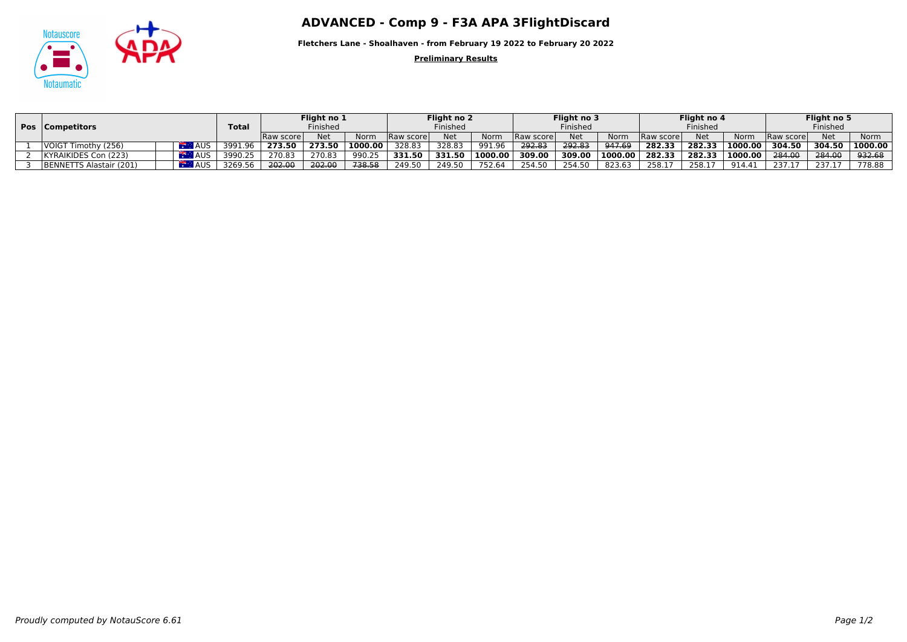

## Notauscore **ADVANCED - Comp 9 - F3A APA 3FlightDiscard**

**Fletchers Lane - Shoalhaven - from February 19 2022 to February 20 2022**

**Preliminary Results**

|  | Pos   Competitors       |  |            |              | Flight no 1<br>Finished |            |         | Flight no 2<br>Finished |            |         | Flight no 3<br>Finished |            |         | Flight no 4 |            |         | Flight no 5<br>Finished |            |             |
|--|-------------------------|--|------------|--------------|-------------------------|------------|---------|-------------------------|------------|---------|-------------------------|------------|---------|-------------|------------|---------|-------------------------|------------|-------------|
|  |                         |  |            | <b>Total</b> |                         |            |         |                         |            |         |                         |            |         | Finished    |            |         |                         |            |             |
|  |                         |  |            |              | Raw scorel              | <b>Net</b> | Norm    | Raw score               | <b>Net</b> | Norm    | Raw scorel              | <b>Net</b> | Norm    | Raw score   | <b>Net</b> | Norm    | <b>Raw scorel</b>       | <b>Net</b> | <b>Norm</b> |
|  | VOIGT Timothy (256)     |  | AUS        | 3991.96      | 273.50                  | 273.50     | 1000.00 | 328.83                  | 328.83     | 991.96  | 292.83                  | 292.83     | 947.69  | 282.33      | 282.33     | 1000.00 | 304.50                  | 304.50     | 1000.00     |
|  | KYRAIKIDES Con (223)    |  | <b>AUS</b> | 3990.25      | 270.83                  | 270.83     | 990.25  | 331.50                  | 331.50     | 1000.00 | 309.00                  | 309.00     | 1000.00 | 282.33      | 282.33     | 1000.00 | 284.00                  | 284.00     | 932.68      |
|  | BENNETTS Alastair (201) |  | <b>AUS</b> | 3269.56      | 202.00                  | 202.00     | 738.58  | 249.50                  | 249.50     | 752.64  | 254.50                  | 254.50     | 823.63  | 258.1       | 258.17     | 914.41  | 237.17                  | 237.17     | 778.88      |